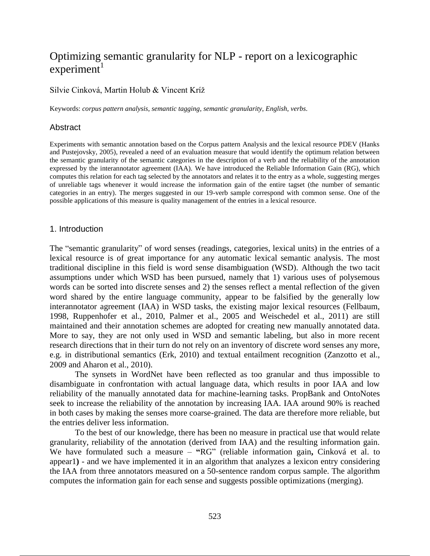# Optimizing semantic granularity for NLP - report on a lexicographic  $experiment<sup>1</sup>$

#### Silvie Cinková, Martin Holub & Vincent Kríž

Keywords: *corpus pattern analysis*, *semantic tagging*, *semantic granularity*, *English*, *verbs*.

#### **Abstract**

Experiments with semantic annotation based on the Corpus pattern Analysis and the lexical resource PDEV (Hanks and Pustejovsky, 2005), revealed a need of an evaluation measure that would identify the optimum relation between the semantic granularity of the semantic categories in the description of a verb and the reliability of the annotation expressed by the interannotator agreement (IAA). We have introduced the Reliable Information Gain (RG), which computes this relation for each tag selected by the annotators and relates it to the entry as a whole, suggesting merges of unreliable tags whenever it would increase the information gain of the entire tagset (the number of semantic categories in an entry). The merges suggested in our 19-verb sample correspond with common sense. One of the possible applications of this measure is quality management of the entries in a lexical resource.

#### 1. Introduction

The "semantic granularity" of word senses (readings, categories, lexical units) in the entries of a lexical resource is of great importance for any automatic lexical semantic analysis. The most traditional discipline in this field is word sense disambiguation (WSD). Although the two tacit assumptions under which WSD has been pursued, namely that 1) various uses of polysemous words can be sorted into discrete senses and 2) the senses reflect a mental reflection of the given word shared by the entire language community, appear to be falsified by the generally low interannotator agreement (IAA) in WSD tasks, the existing major lexical resources (Fellbaum, 1998, Ruppenhofer et al., 2010, Palmer et al., 2005 and Weischedel et al., 2011) are still maintained and their annotation schemes are adopted for creating new manually annotated data. More to say, they are not only used in WSD and semantic labeling, but also in more recent research directions that in their turn do not rely on an inventory of discrete word senses any more, e.g. in distributional semantics (Erk, 2010) and textual entailment recognition (Zanzotto et al., 2009 and Aharon et al., 2010).

The synsets in WordNet have been reflected as too granular and thus impossible to disambiguate in confrontation with actual language data, which results in poor IAA and low reliability of the manually annotated data for machine-learning tasks. PropBank and OntoNotes seek to increase the reliability of the annotation by increasing IAA. IAA around 90% is reached in both cases by making the senses more coarse-grained. The data are therefore more reliable, but the entries deliver less information.

To the best of our knowledge, there has been no measure in practical use that would relate granularity, reliability of the annotation (derived from IAA) and the resulting information gain. We have formulated such a measure – **"**RG" (reliable information gain**,** Cinková et al. to appear1**)** - and we have implemented it in an algorithm that analyzes a lexicon entry considering the IAA from three annotators measured on a 50-sentence random corpus sample. The algorithm computes the information gain for each sense and suggests possible optimizations (merging).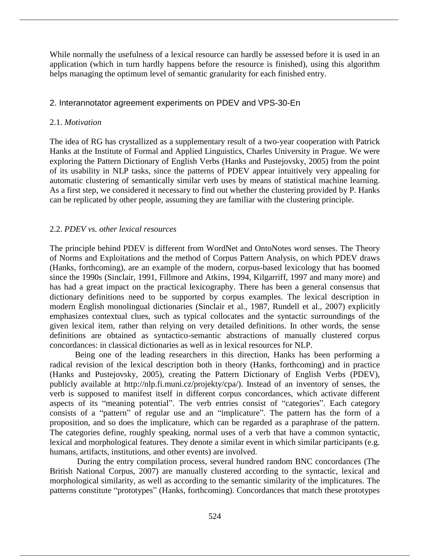While normally the usefulness of a lexical resource can hardly be assessed before it is used in an application (which in turn hardly happens before the resource is finished), using this algorithm helps managing the optimum level of semantic granularity for each finished entry.

# 2. Interannotator agreement experiments on PDEV and VPS-30-En

### 2.1. *Motivation*

The idea of RG has crystallized as a supplementary result of a two-year cooperation with Patrick Hanks at the Institute of Formal and Applied Linguistics, Charles University in Prague. We were exploring the Pattern Dictionary of English Verbs (Hanks and Pustejovsky, 2005) from the point of its usability in NLP tasks, since the patterns of PDEV appear intuitively very appealing for automatic clustering of semantically similar verb uses by means of statistical machine learning. As a first step, we considered it necessary to find out whether the clustering provided by P. Hanks can be replicated by other people, assuming they are familiar with the clustering principle.

# 2.2. *PDEV vs. other lexical resources*

The principle behind PDEV is different from WordNet and OntoNotes word senses. The Theory of Norms and Exploitations and the method of Corpus Pattern Analysis, on which PDEV draws (Hanks, forthcoming), are an example of the modern, corpus-based lexicology that has boomed since the 1990s (Sinclair, 1991, Fillmore and Atkins, 1994, Kilgarriff, 1997 and many more) and has had a great impact on the practical lexicography. There has been a general consensus that dictionary definitions need to be supported by corpus examples. The lexical description in modern English monolingual dictionaries (Sinclair et al., 1987, Rundell et al., 2007) explicitly emphasizes contextual clues, such as typical collocates and the syntactic surroundings of the given lexical item, rather than relying on very detailed definitions. In other words, the sense definitions are obtained as syntactico-semantic abstractions of manually clustered corpus concordances: in classical dictionaries as well as in lexical resources for NLP.

Being one of the leading researchers in this direction, Hanks has been performing a radical revision of the lexical description both in theory (Hanks, forthcoming) and in practice (Hanks and Pustejovsky, 2005), creating the Pattern Dictionary of English Verbs (PDEV), publicly available at http://nlp.fi.muni.cz/projekty/cpa/). Instead of an inventory of senses, the verb is supposed to manifest itself in different corpus concordances, which activate different aspects of its "meaning potential". The verb entries consist of "categories". Each category consists of a "pattern" of regular use and an "implicature". The pattern has the form of a proposition, and so does the implicature, which can be regarded as a paraphrase of the pattern. The categories define, roughly speaking, normal uses of a verb that have a common syntactic, lexical and morphological features. They denote a similar event in which similar participants (e.g. humans, artifacts, institutions, and other events) are involved.

During the entry compilation process, several hundred random BNC concordances (The British National Corpus, 2007) are manually clustered according to the syntactic, lexical and morphological similarity, as well as according to the semantic similarity of the implicatures. The patterns constitute "prototypes" (Hanks, forthcoming). Concordances that match these prototypes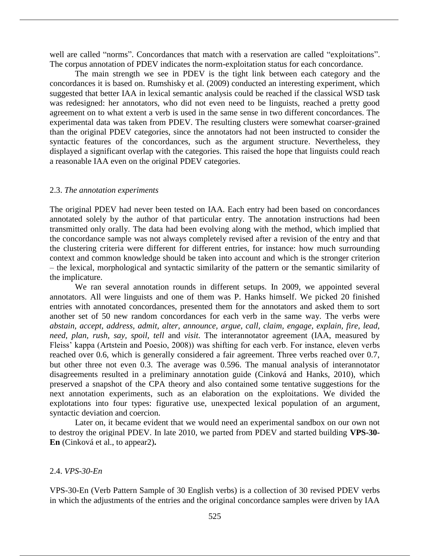well are called "norms". Concordances that match with a reservation are called "exploitations". The corpus annotation of PDEV indicates the norm-exploitation status for each concordance.

The main strength we see in PDEV is the tight link between each category and the concordances it is based on. Rumshisky et al. (2009) conducted an interesting experiment, which suggested that better IAA in lexical semantic analysis could be reached if the classical WSD task was redesigned: her annotators, who did not even need to be linguists, reached a pretty good agreement on to what extent a verb is used in the same sense in two different concordances. The experimental data was taken from PDEV. The resulting clusters were somewhat coarser-grained than the original PDEV categories, since the annotators had not been instructed to consider the syntactic features of the concordances, such as the argument structure. Nevertheless, they displayed a significant overlap with the categories. This raised the hope that linguists could reach a reasonable IAA even on the original PDEV categories.

#### 2.3. *The annotation experiments*

The original PDEV had never been tested on IAA. Each entry had been based on concordances annotated solely by the author of that particular entry. The annotation instructions had been transmitted only orally. The data had been evolving along with the method, which implied that the concordance sample was not always completely revised after a revision of the entry and that the clustering criteria were different for different entries, for instance: how much surrounding context and common knowledge should be taken into account and which is the stronger criterion – the lexical, morphological and syntactic similarity of the pattern or the semantic similarity of the implicature.

We ran several annotation rounds in different setups. In 2009, we appointed several annotators. All were linguists and one of them was P. Hanks himself. We picked 20 finished entries with annotated concordances, presented them for the annotators and asked them to sort another set of 50 new random concordances for each verb in the same way. The verbs were *abstain, accept, address, admit, alter, announce, argue, call, claim, engage, explain, fire, lead, need, plan, rush, say, spoil, tell* and *visit*. The interannotator agreement (IAA, measured by Fleiss' kappa (Artstein and Poesio, 2008)) was shifting for each verb. For instance, eleven verbs reached over 0.6, which is generally considered a fair agreement. Three verbs reached over 0.7, but other three not even 0.3. The average was 0.596. The manual analysis of interannotator disagreements resulted in a preliminary annotation guide (Cinková and Hanks, 2010), which preserved a snapshot of the CPA theory and also contained some tentative suggestions for the next annotation experiments, such as an elaboration on the exploitations. We divided the explotations into four types: figurative use, unexpected lexical population of an argument, syntactic deviation and coercion.

Later on, it became evident that we would need an experimental sandbox on our own not to destroy the original PDEV. In late 2010, we parted from PDEV and started building **VPS-30- En** (Cinková et al., to appear2)**.**

2.4. *VPS-30-En*

VPS-30-En (Verb Pattern Sample of 30 English verbs) is a collection of 30 revised PDEV verbs in which the adjustments of the entries and the original concordance samples were driven by IAA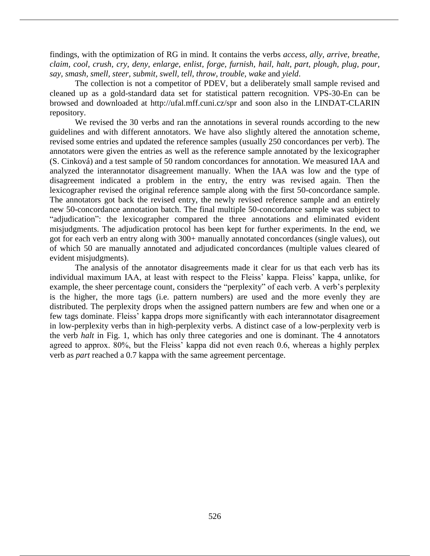findings, with the optimization of RG in mind. It contains the verbs *access, ally, arrive, breathe, claim, cool, crush, cry, deny, enlarge, enlist, forge, furnish, hail, halt, part, plough, plug, pour, say, smash, smell, steer, submit, swell, tell, throw, trouble, wake* and *yield*.

The collection is not a competitor of PDEV, but a deliberately small sample revised and cleaned up as a gold-standard data set for statistical pattern recognition. VPS-30-En can be browsed and downloaded at http://ufal.mff.cuni.cz/spr and soon also in the LINDAT-CLARIN repository.

We revised the 30 verbs and ran the annotations in several rounds according to the new guidelines and with different annotators. We have also slightly altered the annotation scheme, revised some entries and updated the reference samples (usually 250 concordances per verb). The annotators were given the entries as well as the reference sample annotated by the lexicographer (S. Cinková) and a test sample of 50 random concordances for annotation. We measured IAA and analyzed the interannotator disagreement manually. When the IAA was low and the type of disagreement indicated a problem in the entry, the entry was revised again. Then the lexicographer revised the original reference sample along with the first 50-concordance sample. The annotators got back the revised entry, the newly revised reference sample and an entirely new 50-concordance annotation batch. The final multiple 50-concordance sample was subject to "adjudication": the lexicographer compared the three annotations and eliminated evident misjudgments. The adjudication protocol has been kept for further experiments. In the end, we got for each verb an entry along with 300+ manually annotated concordances (single values), out of which 50 are manually annotated and adjudicated concordances (multiple values cleared of evident misjudgments).

The analysis of the annotator disagreements made it clear for us that each verb has its individual maximum IAA, at least with respect to the Fleiss' kappa. Fleiss' kappa, unlike, for example, the sheer percentage count, considers the "perplexity" of each verb. A verb's perplexity is the higher, the more tags (i.e. pattern numbers) are used and the more evenly they are distributed. The perplexity drops when the assigned pattern numbers are few and when one or a few tags dominate. Fleiss' kappa drops more significantly with each interannotator disagreement in low-perplexity verbs than in high-perplexity verbs. A distinct case of a low-perplexity verb is the verb *halt* in Fig. 1, which has only three categories and one is dominant. The 4 annotators agreed to approx. 80%, but the Fleiss' kappa did not even reach 0.6, whereas a highly perplex verb as *part* reached a 0.7 kappa with the same agreement percentage.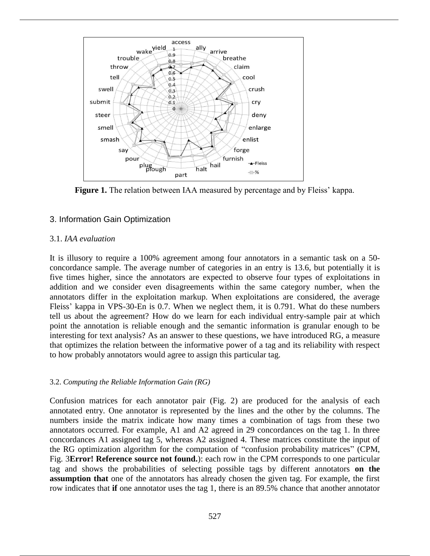

**Figure 1.** The relation between IAA measured by percentage and by Fleiss' kappa.

# 3. Information Gain Optimization

#### 3.1. *IAA evaluation*

It is illusory to require a 100% agreement among four annotators in a semantic task on a 50 concordance sample. The average number of categories in an entry is 13.6, but potentially it is five times higher, since the annotators are expected to observe four types of exploitations in addition and we consider even disagreements within the same category number, when the annotators differ in the exploitation markup. When exploitations are considered, the average Fleiss' kappa in VPS-30-En is 0.7. When we neglect them, it is 0.791. What do these numbers tell us about the agreement? How do we learn for each individual entry-sample pair at which point the annotation is reliable enough and the semantic information is granular enough to be interesting for text analysis? As an answer to these questions, we have introduced RG, a measure that optimizes the relation between the informative power of a tag and its reliability with respect to how probably annotators would agree to assign this particular tag.

#### 3.2. *Computing the Reliable Information Gain (RG)*

Confusion matrices for each annotator pair (Fig. 2) are produced for the analysis of each annotated entry. One annotator is represented by the lines and the other by the columns. The numbers inside the matrix indicate how many times a combination of tags from these two annotators occurred. For example, A1 and A2 agreed in 29 concordances on the tag 1. In three concordances A1 assigned tag 5, whereas A2 assigned 4. These matrices constitute the input of the RG optimization algorithm for the computation of "confusion probability matrices" (CPM, Fig. 3**Error! Reference source not found.**): each row in the CPM corresponds to one particular tag and shows the probabilities of selecting possible tags by different annotators **on the assumption that** one of the annotators has already chosen the given tag. For example, the first row indicates that **if** one annotator uses the tag 1, there is an 89.5% chance that another annotator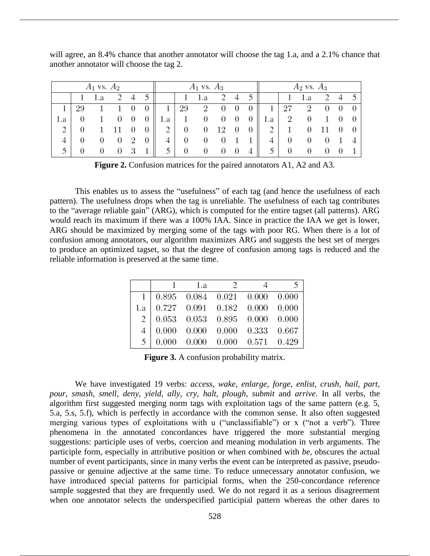will agree, an 8.4% chance that another annotator will choose the tag 1.a, and a 2.1% chance that another annotator will choose the tag 2.

| $A_1$ vs. $A_2$ |  |        |  | $A_1$ vs. $A_3$ |  |     |          |                | $A_2$ vs. $A_3$ |                  |   |          |   |     |  |  |  |
|-----------------|--|--------|--|-----------------|--|-----|----------|----------------|-----------------|------------------|---|----------|---|-----|--|--|--|
|                 |  | 1.a    |  | 4               |  |     |          | 1.a            |                 | 4                |   |          |   | 1.a |  |  |  |
|                 |  |        |  |                 |  |     | 29       | $\overline{2}$ | 0               | 0                |   |          |   | 2   |  |  |  |
| 1.a             |  |        |  | $\theta$        |  | 1.a | 1        | 0              | U               | 0                |   | 1.a      | 2 |     |  |  |  |
| $\overline{2}$  |  |        |  |                 |  | 2   | $\theta$ | 0              | 12              | $\boldsymbol{0}$ | 0 |          |   |     |  |  |  |
| 4               |  | $\cup$ |  |                 |  | 4   | 0        | U              |                 |                  |   | $\Delta$ |   |     |  |  |  |
|                 |  |        |  |                 |  | 5   | 0        | O              |                 | O                |   |          |   |     |  |  |  |

**Figure 2.** Confusion matrices for the paired annotators A1, A2 and A3.

This enables us to assess the "usefulness" of each tag (and hence the usefulness of each pattern). The usefulness drops when the tag is unreliable. The usefulness of each tag contributes to the "average reliable gain" (ARG), which is computed for the entire tagset (all patterns). ARG would reach its maximum if there was a 100% IAA. Since in practice the IAA we get is lower, ARG should be maximized by merging some of the tags with poor RG. When there is a lot of confusion among annotators, our algorithm maximizes ARG and suggests the best set of merges to produce an optimized tagset, so that the degree of confusion among tags is reduced and the reliable information is preserved at the same time.

|  |                                                                                                                                                                           | $1.a$ 2 | ↖ |
|--|---------------------------------------------------------------------------------------------------------------------------------------------------------------------------|---------|---|
|  |                                                                                                                                                                           |         |   |
|  |                                                                                                                                                                           |         |   |
|  | $\begin{array}{c cccccc} 1 & 0.895 & 0.084 & 0.021 & 0.000 & 0.000 \ 1.a & 0.727 & 0.091 & 0.182 & 0.000 & 0.000 \ 2 & 0.053 & 0.053 & 0.895 & 0.000 & 0.000 \end{array}$ |         |   |
|  |                                                                                                                                                                           |         |   |
|  | $\begin{array}{c cccccc}\n4 & 0.000 & 0.000 & 0.000 & 0.333 & 0.667 \\ 5 & 0.000 & 0.000 & 0.000 & 0.571 & 0.429\n\end{array}$                                            |         |   |

**Figure 3.** A confusion probability matrix.

We have investigated 19 verbs: *access, wake, enlarge, forge, enlist, crush, hail, part, pour, smash, smell, deny, yield, ally, cry, halt, plough, submit* and *arrive*. In all verbs, the algorithm first suggested merging norm tags with exploitation tags of the same pattern (e.g. 5, 5.a, 5.s, 5.f), which is perfectly in accordance with the common sense. It also often suggested merging various types of exploitations with u ("unclassifiable") or x ("not a verb"). Three phenomena in the annotated concordances have triggered the more substantial merging suggestions: participle uses of verbs, coercion and meaning modulation in verb arguments. The participle form, especially in attributive position or when combined with *be*, obscures the actual number of event participants, since in many verbs the event can be interpreted as passive, pseudopassive or genuine adjective at the same time. To reduce unnecessary annotator confusion, we have introduced special patterns for participial forms, when the 250-concordance reference sample suggested that they are frequently used. We do not regard it as a serious disagreement when one annotator selects the underspecified participial pattern whereas the other dares to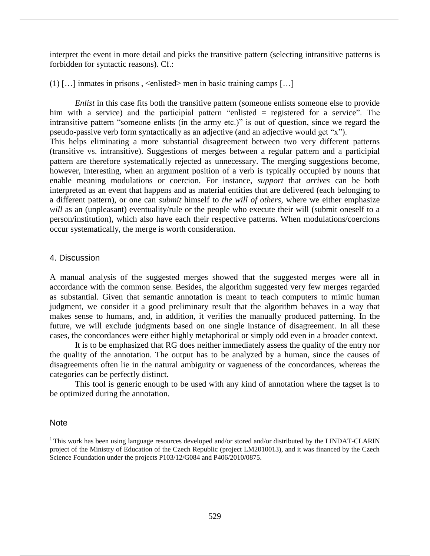interpret the event in more detail and picks the transitive pattern (selecting intransitive patterns is forbidden for syntactic reasons). Cf.:

(1)  $\left[ \ldots \right]$  inmates in prisons,  $\le$ enlisted> men in basic training camps  $\left[ \ldots \right]$ 

*Enlist* in this case fits both the transitive pattern (someone enlists someone else to provide him with a service) and the participial pattern "enlisted = registered for a service". The intransitive pattern "someone enlists (in the army etc.)" is out of question, since we regard the pseudo-passive verb form syntactically as an adjective (and an adjective would get "x"). This helps eliminating a more substantial disagreement between two very different patterns (transitive vs. intransitive). Suggestions of merges between a regular pattern and a participial pattern are therefore systematically rejected as unnecessary. The merging suggestions become, however, interesting, when an argument position of a verb is typically occupied by nouns that enable meaning modulations or coercion. For instance, *support* that *arrives* can be both interpreted as an event that happens and as material entities that are delivered (each belonging to a different pattern), or one can *submit* himself to *the will of others,* where we either emphasize *will* as an (unpleasant) eventuality/rule or the people who execute their will (submit oneself to a person/institution), which also have each their respective patterns. When modulations/coercions occur systematically, the merge is worth consideration.

### 4. Discussion

A manual analysis of the suggested merges showed that the suggested merges were all in accordance with the common sense. Besides, the algorithm suggested very few merges regarded as substantial. Given that semantic annotation is meant to teach computers to mimic human judgment, we consider it a good preliminary result that the algorithm behaves in a way that makes sense to humans, and, in addition, it verifies the manually produced patterning. In the future, we will exclude judgments based on one single instance of disagreement. In all these cases, the concordances were either highly metaphorical or simply odd even in a broader context.

It is to be emphasized that RG does neither immediately assess the quality of the entry nor the quality of the annotation. The output has to be analyzed by a human, since the causes of disagreements often lie in the natural ambiguity or vagueness of the concordances, whereas the categories can be perfectly distinct.

This tool is generic enough to be used with any kind of annotation where the tagset is to be optimized during the annotation.

### Note

 $1$ This work has been using language resources developed and/or stored and/or distributed by the LINDAT-CLARIN project of the Ministry of Education of the Czech Republic (project LM2010013), and it was financed by the Czech Science Foundation under the projects P103/12/G084 and P406/2010/0875.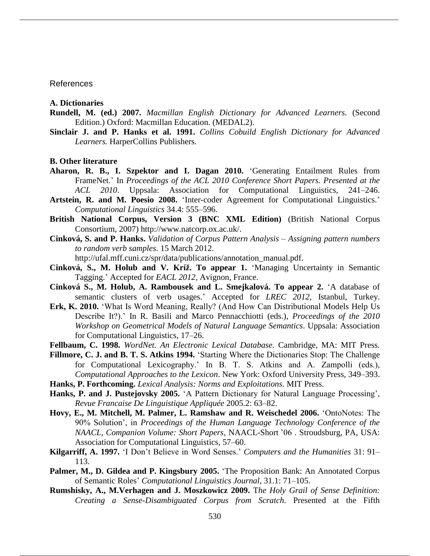#### References

**A. Dictionaries**

- **Rundell, M. (ed.) 2007.** *Macmillan English Dictionary for Advanced Learners.* (Second Edition.) Oxford: Macmillan Education. (MEDAL2).
- **Sinclair J. and P. Hanks et al. 1991.** *Collins Cobuild English Dictionary for Advanced Learners.* HarperCollins Publishers.

**B. Other literature**

- **Aharon, R. B., I. Szpektor and I. Dagan 2010.** 'Generating Entailment Rules from FrameNet.' In *Proceedings of the ACL 2010 Conference Short Papers. Presented at the ACL 2010*. Uppsala: Association for Computational Linguistics, 241–246.
- **Artstein, R. and M. Poesio 2008.** 'Inter-coder Agreement for Computational Linguistics.' *Computational Linguistics* 34.4: 555–596.
- **British National Corpus, Version 3 (BNC XML Edition)** (British National Corpus Consortium, 2007) http://www.natcorp.ox.ac.uk/.
- **Cinková, S. and P. Hanks.** *Validation of Corpus Pattern Analysis – Assigning pattern numbers to random verb samples*. 15 March 2012.

http://ufal.mff.cuni.cz/spr/data/publications/annotation\_manual.pdf.

- **Cinková, S., M. Holub and V. Kríž. To appear 1.** 'Managing Uncertainty in Semantic Tagging.' Accepted for *EACL 2012,* Avignon, France.
- **Cinková S., M. Holub, A. Rambousek and L. Smejkalová. To appear 2.** 'A database of semantic clusters of verb usages.' Accepted for *LREC 2012*, Istanbul, Turkey.
- **Erk, K. 2010.** 'What Is Word Meaning, Really? (And How Can Distributional Models Help Us Describe It?).' In R. Basili and Marco Pennacchiotti (eds.), *Proceedings of the 2010 Workshop on Geometrical Models of Natural Language Semantics*. Uppsala: Association for Computational Linguistics, 17–26.
- **Fellbaum, C. 1998.** *WordNet. An Electronic Lexical Database.* Cambridge, MA: MIT Press.
- **Fillmore, C. J. and B. T. S. Atkins 1994.** 'Starting Where the Dictionaries Stop: The Challenge for Computational Lexicography.' In B. T. S. Atkins and A. Zampolli (eds.), *Computational Approaches to the Lexicon*. New York: Oxford University Press, 349–393.
- **Hanks, P. Forthcoming.** *Lexical Analysis: Norms and Exploitations.* MIT Press.
- **Hanks, P. and J. Pustejovsky 2005.** 'A Pattern Dictionary for Natural Language Processing', *Revue Francaise De Linguistique Appliquée* 2005.2: 63–82.
- **Hovy, E., M. Mitchell, M. Palmer, L. Ramshaw and R. Weischedel 2006.** 'OntoNotes: The 90% Solution', in *Proceedings of the Human Language Technology Conference of the NAACL, Companion Volume: Short Papers*, NAACL-Short '06 . Stroudsburg, PA, USA: Association for Computational Linguistics, 57–60.
- **Kilgarriff, A. 1997.** 'I Don't Believe in Word Senses.' *Computers and the Humanities* 31: 91– 113.
- **Palmer, M., D. Gildea and P. Kingsbury 2005.** 'The Proposition Bank: An Annotated Corpus of Semantic Roles' *Computational Linguistics Journal*, 31.1: 71–105.
- **Rumshisky, A., M.Verhagen and J. Moszkowicz 2009.** T*he Holy Grail of Sense Definition: Creating a Sense-Disambiguated Corpus from Scratch*. Presented at the Fifth